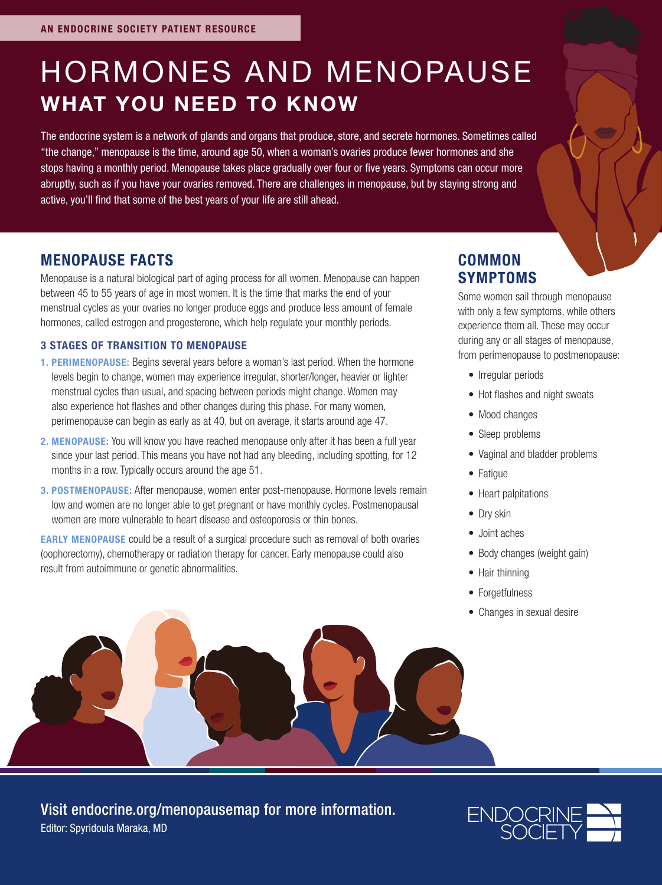# HORMONES AND MENOPAUSE WHAT YOU NEED TO KNOW

The endocrine system is a network of glands and organs that produce, store, and secrete hormones. Sometimes called "the change," menopause is the time, around age 50, when a woman's ovaries produce fewer hormones and she stops having a monthly period. Menopause takes place gradually over four or five years. Symptoms can occur more abruptly, such as if you have your ovaries removed. There are challenges in menopause, but by staying strong and active, you'll find that some of the best years of your life are still ahead.

#### MENOPAUSE FACTS

Menopause is a natural biological part of aging process for all women. Menopause can happen between 45 to 55 years of age in most women. It is the time that marks the end of your menstrual cycles as your ovaries no longer produce eggs and produce less amount of female hormones, called estrogen and progesterone, which help regulate your monthly periods.

#### 3 STAGES OF TRANSITION TO MENOPAUSE

- 1. PERIMENOPAUSE: Begins several years before a woman's last period. When the hormone levels begin to change, women may experience irregular, shorter/longer, heavier or lighter menstrual cycles than usual, and spacing between periods might change. Women may also experience hot flashes and other changes during this phase. For many women, perimenopause can begin as early as at 40, but on average, it starts around age 47.
- 2. MENOPAUSE: You will know you have reached menopause only after it has been a full year since your last period. This means you have not had any bleeding, including spotting, for 12 months in a row. Typically occurs around the age 51.
- 3. POSTMENOPAUSE: After menopause, women enter post-menopause. Hormone levels remain low and women are no longer able to get pregnant or have monthly cycles. Postmenopausal women are more vulnerable to heart disease and osteoporosis or thin bones.

EARLY MENOPAUSE could be a result of a surgical procedure such as removal of both ovaries (oophorectomy), chemotherapy or radiation therapy for cancer. Early menopause could also result from autoimmune or genetic abnormalities.

#### **COMMON** SYMPTOMS

Some women sail through menopause with only a few symptoms, while others experience them all. These may occur during any or all stages of menopause, from perimenopause to postmenopause:

- Irregular periods
- Hot flashes and night sweats
- Mood changes
- Sleep problems
- Vaginal and bladder problems
- Fatigue
- Heart palpitations
- Drv skin
- Joint aches
- Body changes (weight gain)
- Hair thinning
- Forgetfulness
- Changes in sexual desire



Editor: Spyridoula Maraka, MD Visit endocrine.org/menopausemap for more information.